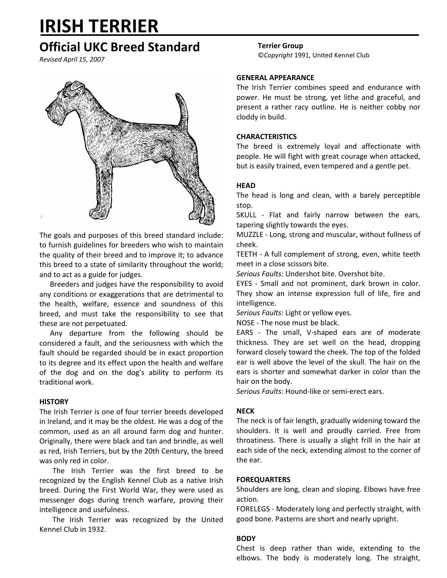# **IRISH TERRIER**

# **Official UKC Breed Standard**

*Revised April 15, 2007*



The goals and purposes of this breed standard include: to furnish guidelines for breeders who wish to maintain the quality of their breed and to improve it; to advance this breed to a state of similarity throughout the world; and to act as a guide for judges.

Breeders and judges have the responsibility to avoid any conditions or exaggerations that are detrimental to the health, welfare, essence and soundness of this breed, and must take the responsibility to see that these are not perpetuated.

Any departure from the following should be considered a fault, and the seriousness with which the fault should be regarded should be in exact proportion to its degree and its effect upon the health and welfare of the dog and on the dog's ability to perform its traditional work.

# **HISTORY**

The Irish Terrier is one of four terrier breeds developed in Ireland, and it may be the oldest. He was a dog of the common, used as an all around farm dog and hunter. Originally, there were black and tan and brindle, as well as red, Irish Terriers, but by the 20th Century, the breed was only red in color.

The Irish Terrier was the first breed to be recognized by the English Kennel Club as a native Irish breed. During the First World War, they were used as messenger dogs during trench warfare, proving their intelligence and usefulness.

The Irish Terrier was recognized by the United Kennel Club in 1932.

#### **Terrier Group**

©*Copyright* 1991, United Kennel Club

#### **GENERAL APPEARANCE**

The Irish Terrier combines speed and endurance with power. He must be strong, yet lithe and graceful, and present a rather racy outline. He is neither cobby nor cloddy in build.

# **CHARACTERISTICS**

The breed is extremely loyal and affectionate with people. He will fight with great courage when attacked, but is easily trained, even tempered and a gentle pet.

# **HEAD**

The head is long and clean, with a barely perceptible stop.

SKULL - Flat and fairly narrow between the ears, tapering slightly towards the eyes.

MUZZLE - Long, strong and muscular, without fullness of cheek.

TEETH - A full complement of strong, even, white teeth meet in a close scissors bite.

*Serious Faults*: Undershot bite. Overshot bite.

EYES - Small and not prominent, dark brown in color. They show an intense expression full of life, fire and intelligence.

*Serious Faults*: Light or yellow eyes.

NOSE - The nose must be black.

EARS - The small, V-shaped ears are of moderate thickness. They are set well on the head, dropping forward closely toward the cheek. The top of the folded ear is well above the level of the skull. The hair on the ears is shorter and somewhat darker in color than the hair on the body.

*Serious Faults*: Hound-like or semi-erect ears.

#### **NECK**

The neck is of fair length, gradually widening toward the shoulders. It is well and proudly carried. Free from throatiness. There is usually a slight frill in the hair at each side of the neck, extending almost to the corner of the ear.

#### **FOREQUARTERS**

Shoulders are long, clean and sloping. Elbows have free action.

FORELEGS - Moderately long and perfectly straight, with good bone. Pasterns are short and nearly upright.

# **BODY**

Chest is deep rather than wide, extending to the elbows. The body is moderately long. The straight,